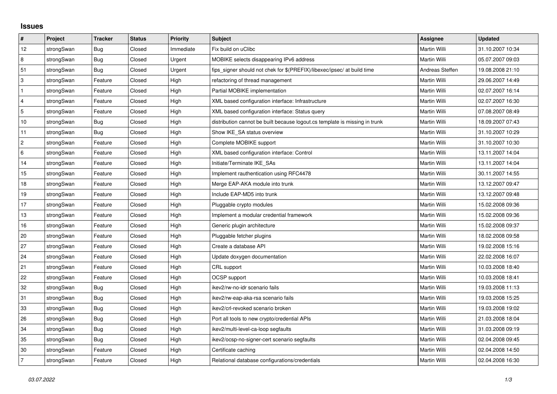## **Issues**

| #               | Project    | <b>Tracker</b> | <b>Status</b> | Priority  | Subject                                                                     | <b>Assignee</b> | <b>Updated</b>   |
|-----------------|------------|----------------|---------------|-----------|-----------------------------------------------------------------------------|-----------------|------------------|
| 12              | strongSwan | <b>Bug</b>     | Closed        | Immediate | Fix build on uClibc                                                         | Martin Willi    | 31.10.2007 10:34 |
| 8               | strongSwan | Bug            | Closed        | Urgent    | MOBIKE selects disappearing IPv6 address                                    | Martin Willi    | 05.07.2007 09:03 |
| 51              | strongSwan | Bug            | Closed        | Urgent    | fips_signer should not chek for \$(PREFIX)/libexec/ipsec/ at build time     | Andreas Steffen | 19.08.2008 21:10 |
| 3               | strongSwan | Feature        | Closed        | High      | refactoring of thread management                                            | Martin Willi    | 29.06.2007 14:49 |
| $\mathbf{1}$    | strongSwan | Feature        | Closed        | High      | Partial MOBIKE implementation                                               | Martin Willi    | 02.07.2007 16:14 |
| $\overline{4}$  | strongSwan | Feature        | Closed        | High      | XML based configuration interface: Infrastructure                           | Martin Willi    | 02.07.2007 16:30 |
| 5               | strongSwan | Feature        | Closed        | High      | XML based configuration interface: Status query                             | Martin Willi    | 07.08.2007 08:49 |
| $10$            | strongSwan | <b>Bug</b>     | Closed        | High      | distribution cannot be built because logout.cs template is missing in trunk | Martin Willi    | 18.09.2007 07:43 |
| 11              | strongSwan | Bug            | Closed        | High      | Show IKE SA status overview                                                 | Martin Willi    | 31.10.2007 10:29 |
| $\overline{2}$  | strongSwan | Feature        | Closed        | High      | Complete MOBIKE support                                                     | Martin Willi    | 31.10.2007 10:30 |
| $6\phantom{.}6$ | strongSwan | Feature        | Closed        | High      | XML based configuration interface: Control                                  | Martin Willi    | 13.11.2007 14:04 |
| 14              | strongSwan | Feature        | Closed        | High      | Initiate/Terminate IKE SAs                                                  | Martin Willi    | 13.11.2007 14:04 |
| 15              | strongSwan | Feature        | Closed        | High      | Implement rauthentication using RFC4478                                     | Martin Willi    | 30.11.2007 14:55 |
| 18              | strongSwan | Feature        | Closed        | High      | Merge EAP-AKA module into trunk                                             | Martin Willi    | 13.12.2007 09:47 |
| 19              | strongSwan | Feature        | Closed        | High      | Include EAP-MD5 into trunk                                                  | Martin Willi    | 13.12.2007 09:48 |
| 17              | strongSwan | Feature        | Closed        | High      | Pluggable crypto modules                                                    | Martin Willi    | 15.02.2008 09:36 |
| 13              | strongSwan | Feature        | Closed        | High      | Implement a modular credential framework                                    | Martin Willi    | 15.02.2008 09:36 |
| 16              | strongSwan | Feature        | Closed        | High      | Generic plugin architecture                                                 | Martin Willi    | 15.02.2008 09:37 |
| 20              | strongSwan | Feature        | Closed        | High      | Pluggable fetcher plugins                                                   | Martin Willi    | 18.02.2008 09:58 |
| 27              | strongSwan | Feature        | Closed        | High      | Create a database API                                                       | Martin Willi    | 19.02.2008 15:16 |
| 24              | strongSwan | Feature        | Closed        | High      | Update doxygen documentation                                                | Martin Willi    | 22.02.2008 16:07 |
| 21              | strongSwan | Feature        | Closed        | High      | CRL support                                                                 | Martin Willi    | 10.03.2008 18:40 |
| 22              | strongSwan | Feature        | Closed        | High      | OCSP support                                                                | Martin Willi    | 10.03.2008 18:41 |
| 32              | strongSwan | <b>Bug</b>     | Closed        | High      | ikev2/rw-no-idr scenario fails                                              | Martin Willi    | 19.03.2008 11:13 |
| 31              | strongSwan | Bug            | Closed        | High      | ikev2/rw-eap-aka-rsa scenario fails                                         | Martin Willi    | 19.03.2008 15:25 |
| 33              | strongSwan | Bug            | Closed        | High      | ikev2/crl-revoked scenario broken                                           | Martin Willi    | 19.03.2008 19:02 |
| 26              | strongSwan | Bug            | Closed        | High      | Port all tools to new crypto/credential APIs                                | Martin Willi    | 21.03.2008 18:04 |
| 34              | strongSwan | <b>Bug</b>     | Closed        | High      | ikev2/multi-level-ca-loop segfaults                                         | Martin Willi    | 31.03.2008 09:19 |
| 35              | strongSwan | Bug            | Closed        | High      | ikev2/ocsp-no-signer-cert scenario segfaults                                | Martin Willi    | 02.04.2008 09:45 |
| 30              | strongSwan | Feature        | Closed        | High      | Certificate caching                                                         | Martin Willi    | 02.04.2008 14:50 |
| 7               | strongSwan | Feature        | Closed        | High      | Relational database configurations/credentials                              | Martin Willi    | 02.04.2008 16:30 |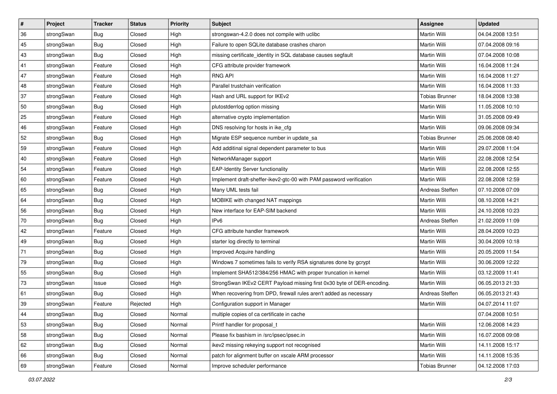| $\vert$ # | Project    | <b>Tracker</b> | <b>Status</b> | <b>Priority</b> | <b>Subject</b>                                                         | <b>Assignee</b>       | <b>Updated</b>   |
|-----------|------------|----------------|---------------|-----------------|------------------------------------------------------------------------|-----------------------|------------------|
| 36        | strongSwan | <b>Bug</b>     | Closed        | High            | strongswan-4.2.0 does not compile with uclibe                          | Martin Willi          | 04.04.2008 13:51 |
| 45        | strongSwan | <b>Bug</b>     | Closed        | High            | Failure to open SQLite database crashes charon                         | Martin Willi          | 07.04.2008 09:16 |
| 43        | strongSwan | <b>Bug</b>     | Closed        | High            | missing certificate_identity in SQL database causes segfault           | Martin Willi          | 07.04.2008 10:08 |
| 41        | strongSwan | Feature        | Closed        | High            | CFG attribute provider framework                                       | Martin Willi          | 16.04.2008 11:24 |
| 47        | strongSwan | Feature        | Closed        | High            | <b>RNG API</b>                                                         | <b>Martin Willi</b>   | 16.04.2008 11:27 |
| 48        | strongSwan | Feature        | Closed        | High            | Parallel trustchain verification                                       | Martin Willi          | 16.04.2008 11:33 |
| 37        | strongSwan | Feature        | Closed        | High            | Hash and URL support for IKEv2                                         | <b>Tobias Brunner</b> | 18.04.2008 13:38 |
| 50        | strongSwan | <b>Bug</b>     | Closed        | High            | plutostderrlog option missing                                          | Martin Willi          | 11.05.2008 10:10 |
| 25        | strongSwan | Feature        | Closed        | High            | alternative crypto implementation                                      | Martin Willi          | 31.05.2008 09:49 |
| 46        | strongSwan | Feature        | Closed        | High            | DNS resolving for hosts in ike_cfg                                     | <b>Martin Willi</b>   | 09.06.2008 09:34 |
| 52        | strongSwan | <b>Bug</b>     | Closed        | High            | Migrate ESP sequence number in update_sa                               | <b>Tobias Brunner</b> | 25.06.2008 08:40 |
| 59        | strongSwan | Feature        | Closed        | High            | Add additinal signal dependent parameter to bus                        | <b>Martin Willi</b>   | 29.07.2008 11:04 |
| 40        | strongSwan | Feature        | Closed        | High            | NetworkManager support                                                 | <b>Martin Willi</b>   | 22.08.2008 12:54 |
| 54        | strongSwan | Feature        | Closed        | High            | <b>EAP-Identity Server functionality</b>                               | Martin Willi          | 22.08.2008 12:55 |
| 60        | strongSwan | Feature        | Closed        | High            | Implement draft-sheffer-ikev2-gtc-00 with PAM password verification    | <b>Martin Willi</b>   | 22.08.2008 12:59 |
| 65        | strongSwan | <b>Bug</b>     | Closed        | High            | Many UML tests fail                                                    | Andreas Steffen       | 07.10.2008 07:09 |
| 64        | strongSwan | <b>Bug</b>     | Closed        | High            | MOBIKE with changed NAT mappings                                       | <b>Martin Willi</b>   | 08.10.2008 14:21 |
| 56        | strongSwan | Bug            | Closed        | High            | New interface for EAP-SIM backend                                      | <b>Martin Willi</b>   | 24.10.2008 10:23 |
| $70\,$    | strongSwan | <b>Bug</b>     | Closed        | High            | IP <sub>v6</sub>                                                       | Andreas Steffen       | 21.02.2009 11:09 |
| 42        | strongSwan | Feature        | Closed        | High            | CFG attribute handler framework                                        | <b>Martin Willi</b>   | 28.04.2009 10:23 |
| 49        | strongSwan | <b>Bug</b>     | Closed        | High            | starter log directly to terminal                                       | Martin Willi          | 30.04.2009 10:18 |
| 71        | strongSwan | <b>Bug</b>     | Closed        | High            | Improved Acquire handling                                              | <b>Martin Willi</b>   | 20.05.2009 11:54 |
| 79        | strongSwan | Bug            | Closed        | High            | Windows 7 sometimes fails to verify RSA signatures done by gcrypt      | Martin Willi          | 30.06.2009 12:22 |
| 55        | strongSwan | <b>Bug</b>     | Closed        | High            | Implement SHA512/384/256 HMAC with proper truncation in kernel         | Martin Willi          | 03.12.2009 11:41 |
| 73        | strongSwan | Issue          | Closed        | High            | StrongSwan IKEv2 CERT Payload missing first 0x30 byte of DER-encoding. | Martin Willi          | 06.05.2013 21:33 |
| 61        | strongSwan | <b>Bug</b>     | Closed        | High            | When recovering from DPD, firewall rules aren't added as necessary     | Andreas Steffen       | 06.05.2013 21:43 |
| 39        | strongSwan | Feature        | Rejected      | High            | Configuration support in Manager                                       | Martin Willi          | 04.07.2014 11:07 |
| 44        | strongSwan | Bug            | Closed        | Normal          | multiple copies of ca certificate in cache                             |                       | 07.04.2008 10:51 |
| 53        | strongSwan | Bug            | Closed        | Normal          | Printf handler for proposal t                                          | Martin Willi          | 12.06.2008 14:23 |
| 58        | strongSwan | <b>Bug</b>     | Closed        | Normal          | Please fix bashism in /src/ipsec/ipsec.in                              | Martin Willi          | 16.07.2008 09:08 |
| 62        | strongSwan | <b>Bug</b>     | Closed        | Normal          | ikev2 missing rekeying support not recognised                          | Martin Willi          | 14.11.2008 15:17 |
| 66        | strongSwan | Bug            | Closed        | Normal          | patch for alignment buffer on xscale ARM processor                     | Martin Willi          | 14.11.2008 15:35 |
| 69        | strongSwan | Feature        | Closed        | Normal          | Improve scheduler performance                                          | <b>Tobias Brunner</b> | 04.12.2008 17:03 |